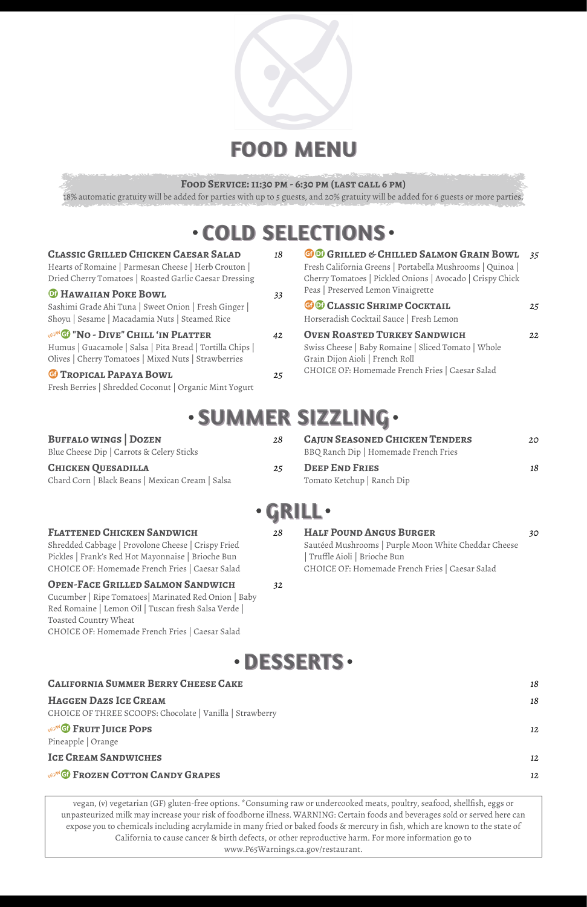

# **FOOD MENU**

#### **Food Service: 11:30 pm - 6:30 pm (last call 6 pm)**

18% automatic gratuity will be added for parties with up to 5 guests, and 20% gratuity will be added for 6 guests or more parties.

# **COLD SELECTIONS**

| <b>CLASSIC GRILLED CHICKEN CAESAR SALAD</b> | 18 |
|---------------------------------------------|----|
|---------------------------------------------|----|

Hearts of Romaine | Parmesan Cheese | Herb Crouton | Dried Cherry Tomatoes | Roasted Garlic Caesar Dressing

#### **D** HAWAIIAN POKE BOWL 33

Sashimi Grade Ahi Tuna | Sweet Onion | Fresh Ginger | Shoyu | Sesame | Macadamia Nuts | Steamed Rice

#### **WEGANGO "NO - DIVE" CHILL 'IN PLATTER** 42

| <b>GO</b> GRILLED & CHILLED SALMON GRAIN BOWL<br>Fresh California Greens   Portabella Mushrooms   Quinoa  <br>Cherry Tomatoes   Pickled Onions   Avocado   Crispy Chick<br>Peas   Preserved Lemon Vinaigrette | 35       |
|---------------------------------------------------------------------------------------------------------------------------------------------------------------------------------------------------------------|----------|
| GO CLASSIC SHRIMP COCKTAIL<br>Horseradish Cocktail Sauce   Fresh Lemon                                                                                                                                        | 25       |
| <b>OVEN ROASTED TURKEY SANDWICH</b><br>Swiss Cheese   Baby Romaine   Sliced Tomato   Whole<br>Grain Dijon Aioli   French Roll                                                                                 | $22^{2}$ |

Humus | Guacamole | Salsa | Pita Bread | Tortilla Chips | Olives | Cherry Tomatoes | Mixed Nuts | Strawberries

**BUFFALO WINGS | DOZEN** 

CHOICE OF: Homemade French Fries | Caesar Salad u**Tropical Papaya Bowl** *25*

Fresh Berries | Shredded Coconut | Organic Mint Yogurt

# **SUMMER SIZZLING**

Blue Cheese Dip | Carrots & Celery Sticks

**Chicken Quesadilla** *25*

| 28 | <b>CAJUN SEASONED CHICKEN TENDERS</b><br>BBQ Ranch Dip   Homemade French Fries | 20 |
|----|--------------------------------------------------------------------------------|----|
| 25 | <b>DEEP END FRIES</b><br>Tomato Ketchup   Ranch Dip                            | 18 |

Chard Corn | Black Beans | Mexican Cream | Salsa

### **GRILL**

**Flattened Chicken Sandwich** *28*

Shredded Cabbage | Provolone Cheese | Crispy Fried Pickles | Frank's Red Hot Mayonnaise | Brioche Bun CHOICE OF: Homemade French Fries | Caesar Salad **Half Pound Angus Burger** *30* Sautéed Mushrooms | Purple Moon White Cheddar Cheese | Truffle Aioli | Brioche Bun CHOICE OF: Homemade French Fries | Caesar Salad

### **Open-Face Grilled Salmon Sandwich** *32*

Cucumber | Ripe Tomatoes| Marinated Red Onion | Baby Red Romaine | Lemon Oil | Tuscan fresh Salsa Verde | Toasted Country Wheat CHOICE OF: Homemade French Fries | Caesar Salad



| <b>CALIFORNIA SUMMER BERRY CHEESE CAKE</b>               | 18 |
|----------------------------------------------------------|----|
| <b>HAGGEN DAZS ICE CREAM</b>                             | 18 |
| CHOICE OF THREE SCOOPS: Chocolate   Vanilla   Strawberry |    |
| <b>VEGANG FRUIT JUICE POPS</b><br>Pineapple   Orange     | 12 |
| <b>ICE CREAM SANDWICHES</b>                              | 12 |
| <b>VEGANGI FROZEN COTTON CANDY GRAPES</b>                | 12 |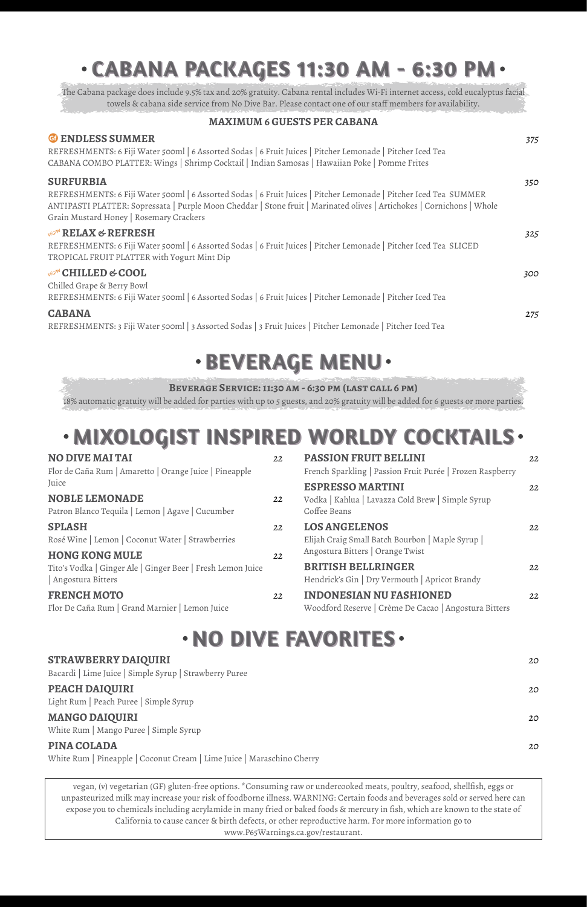# **CABANA PACKAGES 11:30 AM - 6:30 PM**

The Cabana package does include 9.5% tax and 20% gratuity. Cabana rental includes Wi-Fi internet access, cold eucalyptus facial towels & cabana side service from No Dive Bar. Please contact one of our staff members for availability.

#### **MAXIMUM 6 GUESTS PER CABANA**

| <b>G</b> ENDLESS SUMMER                                                                                                                                           | 375 |
|-------------------------------------------------------------------------------------------------------------------------------------------------------------------|-----|
| REFRESHMENTS: 6 Fiji Water 500ml   6 Assorted Sodas   6 Fruit Juices   Pitcher Lemonade   Pitcher Iced Tea                                                        |     |
| CABANA COMBO PLATTER: Wings   Shrimp Cocktail   Indian Samosas   Hawaiian Poke   Pomme Frites                                                                     |     |
| <b>SURFURBIA</b>                                                                                                                                                  | 350 |
| REFRESHMENTS: 6 Fiji Water 500ml   6 Assorted Sodas   6 Fruit Juices   Pitcher Lemonade   Pitcher Iced Tea SUMMER                                                 |     |
| ANTIPASTI PLATTER: Sopressata   Purple Moon Cheddar   Stone fruit   Marinated olives   Artichokes   Cornichons   Whole<br>Grain Mustard Honey   Rosemary Crackers |     |
|                                                                                                                                                                   |     |
| <b>VEGAN RELAX &amp; REFRESH</b>                                                                                                                                  | 325 |
| REFRESHMENTS: 6 Fiji Water 500ml   6 Assorted Sodas   6 Fruit Juices   Pitcher Lemonade   Pitcher Iced Tea SLICED<br>TROPICAL FRUIT PLATTER with Yogurt Mint Dip  |     |
| <b>VEGAN</b> CHILLED & COOL                                                                                                                                       | 300 |
| Chilled Grape & Berry Bowl                                                                                                                                        |     |
| REFRESHMENTS: 6 Fiji Water 500ml   6 Assorted Sodas   6 Fruit Juices   Pitcher Lemonade   Pitcher Iced Tea                                                        |     |
| <b>CABANA</b>                                                                                                                                                     | 275 |
| REFRESHMENTS: 3 Fiji Water 500ml   3 Assorted Sodas   3 Fruit Juices   Pitcher Lemonade   Pitcher Iced Tea                                                        |     |
|                                                                                                                                                                   |     |

# **· BEVERAGE MENU·**

#### **Beverage Service: 11:30 am - 6:30 pm (last call 6 pm)**

18% automatic gratuity will be added for parties with up to 5 guests, and 20% gratuity will be added for 6 guests or more parties.

# **MIXOLOGIST INSPIRED WORLDY COCKTAILS**

| <b>NO DIVE MAI TAI</b><br>Flor de Caña Rum   Amaretto   Orange Juice   Pineapple           | 22       | <b>PASSION FRUIT BELLINI</b><br>French Sparkling   Passion Fruit Purée   Frozen Raspberry                    | 22 |
|--------------------------------------------------------------------------------------------|----------|--------------------------------------------------------------------------------------------------------------|----|
| Juice<br><b>NOBLE LEMONADE</b><br>Patron Blanco Tequila   Lemon   Agave   Cucumber         | 22       | <b>ESPRESSO MARTINI</b><br>Vodka   Kahlua   Lavazza Cold Brew   Simple Syrup<br>Coffee Beans                 | 22 |
| <b>SPLASH</b><br>Rosé Wine   Lemon   Coconut Water   Strawberries<br><b>HONG KONG MULE</b> | 22<br>22 | <b>LOS ANGELENOS</b><br>Elijah Craig Small Batch Bourbon   Maple Syrup  <br>Angostura Bitters   Orange Twist | 22 |
| Tito's Vodka   Ginger Ale   Ginger Beer   Fresh Lemon Juice<br>Angostura Bitters           |          | <b>BRITISH BELLRINGER</b><br>Hendrick's Gin   Dry Vermouth   Apricot Brandy                                  | 22 |
| <b>FRENCH MOTO</b><br>Flor De Caña Rum   Grand Marnier   Lemon Juice                       | 22       | <b>INDONESIAN NU FASHIONED</b><br>Woodford Reserve   Crème De Cacao   Angostura Bitters                      | 22 |

# **NO DIVE FAVORITES**

#### **STRAWBERRY DAIQUIRI** *20*

Bacardi | Lime Juice | Simple Syrup | Strawberry Puree

#### **PEACH DAIQUIRI** *20*

Light Rum | Peach Puree | Simple Syrup

#### **MANGO DAIQUIRI** *20*

White Rum | Mango Puree | Simple Syrup

#### **PINA COLADA** *20*

White Rum | Pineapple | Coconut Cream | Lime Juice | Maraschino Cherry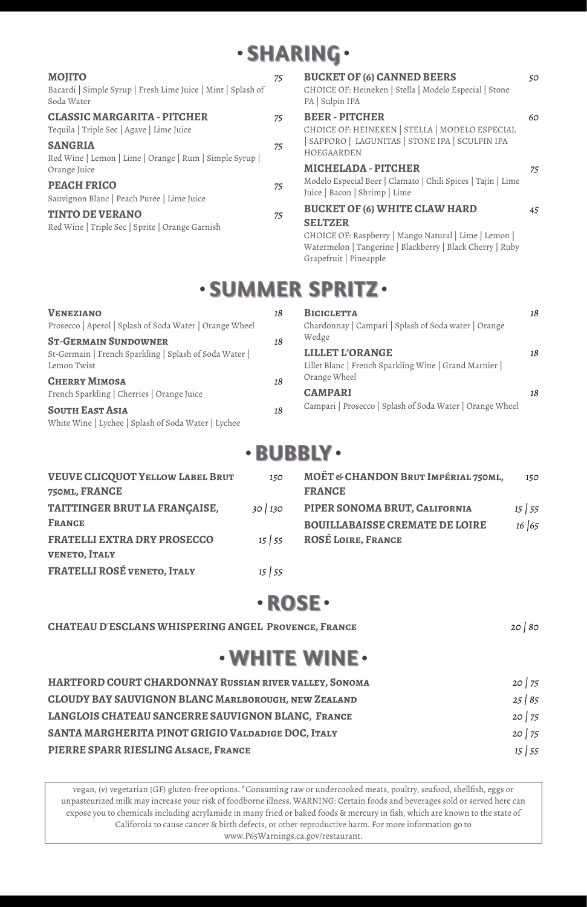# **SHARING**

| <b>MOJITO</b><br>Bacardi   Simple Syrup   Fresh Lime Juice   Mint   Splash of<br>Soda Water | 75 | <b>BUCKET OF (6) CANNED BEERS</b><br>CHOICE OF: Heineken   Stella   Modelo Especial   Stone<br>PA   Sulpin IPA                                                 | 50 |
|---------------------------------------------------------------------------------------------|----|----------------------------------------------------------------------------------------------------------------------------------------------------------------|----|
| <b>CLASSIC MARGARITA - PITCHER</b><br>Tequila   Triple Sec   Agave   Lime Juice             | 75 | <b>BEER-PITCHER</b><br>CHOICE OF: HEINEKEN   STELLA   MODELO ESPECIAL                                                                                          | 60 |
| <b>SANGRIA</b><br>Red Wine   Lemon   Lime   Orange   Rum   Simple Syrup                     | 75 | SAPPORO   LAGUNITAS   STONE IPA   SCULPIN IPA<br>HOEGAARDEN                                                                                                    |    |
| Orange Juice                                                                                |    | <b>MICHELADA - PITCHER</b>                                                                                                                                     | 75 |
| <b>PEACH FRICO</b><br>Sauvignon Blanc   Peach Purée   Lime Juice                            | 75 | Modelo Especial Beer   Clamato   Chili Spices   Tajín   Lime<br>Juice   Bacon   Shrimp   Lime                                                                  |    |
| <b>TINTO DE VERANO</b><br>Red Wine   Triple Sec   Sprite   Orange Garnish                   | 75 | <b>BUCKET OF (6) WHITE CLAW HARD</b>                                                                                                                           | 45 |
|                                                                                             |    | <b>SELTZER</b><br>CHOICE OF: Raspberry   Mango Natural   Lime   Lemon  <br>Watermelon   Tangerine   Blackberry   Black Cherry   Ruby<br>Grapefruit   Pineapple |    |

### **SUMMER SPRITZ**

| VENEZIANO                                                                     | 18 | <b>BICICLETTA</b>                                                              | 18 |
|-------------------------------------------------------------------------------|----|--------------------------------------------------------------------------------|----|
| Prosecco   Aperol   Splash of Soda Water   Orange Wheel                       |    | Chardonnay   Campari   Splash of Soda water   Orange                           |    |
| <b>ST-GERMAIN SUNDOWNER</b>                                                   | 18 | Wedge                                                                          |    |
| St-Germain   French Sparkling   Splash of Soda Water  <br>Lemon Twist         |    | <b>LILLET L'ORANGE</b><br>Lillet Blanc   French Sparkling Wine   Grand Marnier | 18 |
| <b>CHERRY MIMOSA</b>                                                          | 18 | Orange Wheel                                                                   |    |
| French Sparkling   Cherries   Orange Juice                                    |    | <b>CAMPARI</b>                                                                 | 18 |
| <b>SOUTH EAST ASIA</b><br>White Wine   Lychee   Splash of Soda Water   Lychee | 18 | Campari   Prosecco   Splash of Soda Water   Orange Wheel                       |    |
|                                                                               |    |                                                                                |    |

### **BUBBLY**

| <b>VEUVE CLICQUOT YELLOW LABEL BRUT</b><br>750ML, FRANCE | 150          | MOËT & CHANDON BRUT IMPÉRIAL 750ML,<br><b>FRANCE</b> | 150          |
|----------------------------------------------------------|--------------|------------------------------------------------------|--------------|
| TAITTINGER BRUT LA FRANÇAISE,                            | 30 130       | PIPER SONOMA BRUT, CALIFORNIA                        | $15 \mid 55$ |
| <b>FRANCE</b>                                            |              | <b>BOUILLABAISSE CREMATE DE LOIRE</b>                | 16 65        |
| <b>FRATELLI EXTRA DRY PROSECCO</b>                       | $15 \mid 55$ | <b>ROSÉ LOIRE, FRANCE</b>                            |              |
| <b>VENETO, ITALY</b>                                     |              |                                                      |              |
| FRATELLI ROSÉ VENETO, ITALY                              | $15 \mid 55$ |                                                      |              |

### **ROSE**

**CHATEAU D'ESCLANS WHISPERING ANGEL Provence, France** *20 | 80*

### **WHITE WINE**

| HARTFORD COURT CHARDONNAY RUSSIAN RIVER VALLEY, SONOMA     | 20 75        |
|------------------------------------------------------------|--------------|
| <b>CLOUDY BAY SAUVIGNON BLANC MARLBOROUGH, NEW ZEALAND</b> | 25/85        |
| LANGLOIS CHATEAU SANCERRE SAUVIGNON BLANC, FRANCE          | 20 75        |
| SANTA MARGHERITA PINOT GRIGIO VALDADIGE DOC, ITALY         | 20 75        |
| PIERRE SPARR RIESLING ALSACE, FRANCE                       | $15 \mid 55$ |